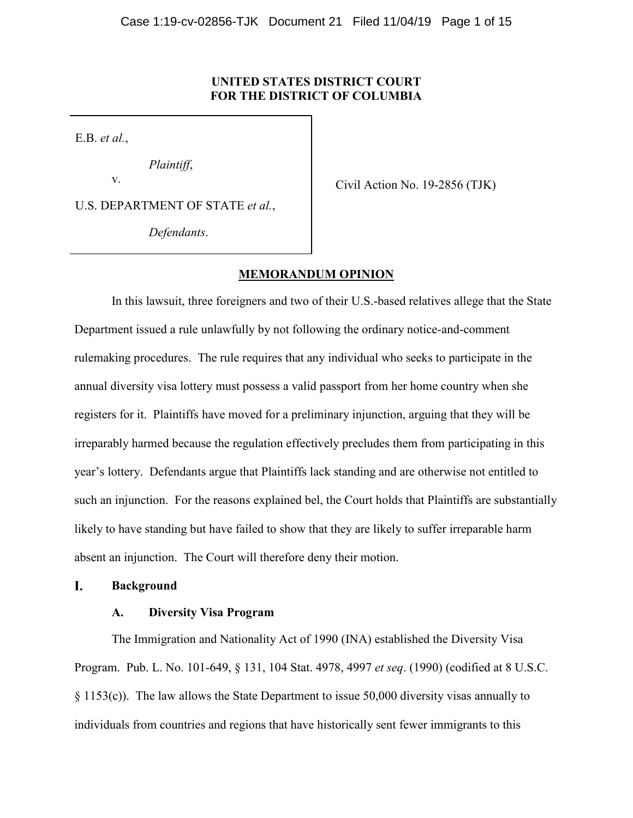## **UNITED STATES DISTRICT COURT FOR THE DISTRICT OF COLUMBIA**

E.B. *et al.*,

*Plaintiff*,

v.

U.S. DEPARTMENT OF STATE *et al.*,

*Defendants*.

Civil Action No. 19-2856 (TJK)

# **MEMORANDUM OPINION**

In this lawsuit, three foreigners and two of their U.S.-based relatives allege that the State Department issued a rule unlawfully by not following the ordinary notice-and-comment rulemaking procedures. The rule requires that any individual who seeks to participate in the annual diversity visa lottery must possess a valid passport from her home country when she registers for it. Plaintiffs have moved for a preliminary injunction, arguing that they will be irreparably harmed because the regulation effectively precludes them from participating in this year's lottery. Defendants argue that Plaintiffs lack standing and are otherwise not entitled to such an injunction. For the reasons explained bel, the Court holds that Plaintiffs are substantially likely to have standing but have failed to show that they are likely to suffer irreparable harm absent an injunction. The Court will therefore deny their motion.

#### I. **Background**

## **A. Diversity Visa Program**

The Immigration and Nationality Act of 1990 (INA) established the Diversity Visa Program. Pub. L. No. 101-649, § 131, 104 Stat. 4978, 4997 *et seq*. (1990) (codified at 8 U.S.C. § 1153(c)). The law allows the State Department to issue 50,000 diversity visas annually to individuals from countries and regions that have historically sent fewer immigrants to this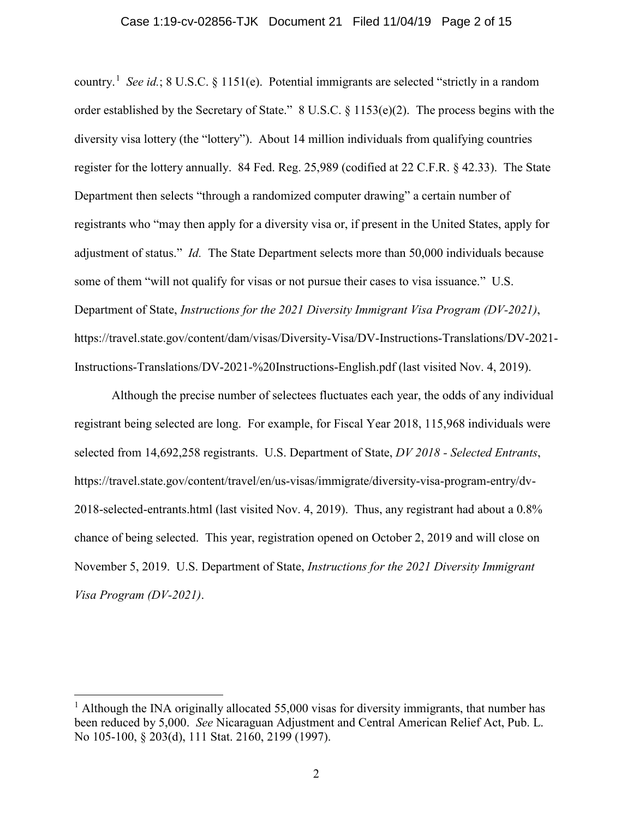#### Case 1:19-cv-02856-TJK Document 21 Filed 11/04/19 Page 2 of 15

country.[1](#page-1-0) *See id.*; 8 U.S.C. § 1151(e). Potential immigrants are selected "strictly in a random order established by the Secretary of State." 8 U.S.C. § 1153(e)(2). The process begins with the diversity visa lottery (the "lottery"). About 14 million individuals from qualifying countries register for the lottery annually. 84 Fed. Reg. 25,989 (codified at 22 C.F.R. § 42.33). The State Department then selects "through a randomized computer drawing" a certain number of registrants who "may then apply for a diversity visa or, if present in the United States, apply for adjustment of status." *Id.* The State Department selects more than 50,000 individuals because some of them "will not qualify for visas or not pursue their cases to visa issuance." U.S. Department of State, *Instructions for the 2021 Diversity Immigrant Visa Program (DV-2021)*, https://travel.state.gov/content/dam/visas/Diversity-Visa/DV-Instructions-Translations/DV-2021- Instructions-Translations/DV-2021-%20Instructions-English.pdf (last visited Nov. 4, 2019).

Although the precise number of selectees fluctuates each year, the odds of any individual registrant being selected are long. For example, for Fiscal Year 2018, 115,968 individuals were selected from 14,692,258 registrants. U.S. Department of State, *DV 2018 - Selected Entrants*, https://travel.state.gov/content/travel/en/us-visas/immigrate/diversity-visa-program-entry/dv-2018-selected-entrants.html (last visited Nov. 4, 2019). Thus, any registrant had about a 0.8% chance of being selected. This year, registration opened on October 2, 2019 and will close on November 5, 2019. U.S. Department of State, *Instructions for the 2021 Diversity Immigrant Visa Program (DV-2021)*.

<span id="page-1-0"></span><sup>&</sup>lt;sup>1</sup> Although the INA originally allocated 55,000 visas for diversity immigrants, that number has been reduced by 5,000. *See* Nicaraguan Adjustment and Central American Relief Act, Pub. L. No 105-100, § 203(d), 111 Stat. 2160, 2199 (1997).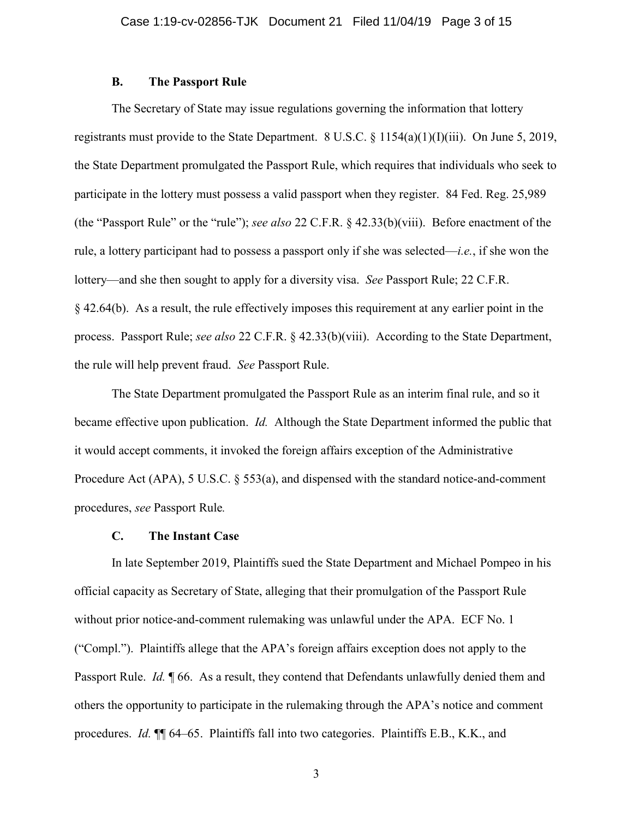## **B. The Passport Rule**

The Secretary of State may issue regulations governing the information that lottery registrants must provide to the State Department. 8 U.S.C. § 1154(a)(1)(I)(iii). On June 5, 2019, the State Department promulgated the Passport Rule, which requires that individuals who seek to participate in the lottery must possess a valid passport when they register. 84 Fed. Reg. 25,989 (the "Passport Rule" or the "rule"); *see also* 22 C.F.R. § 42.33(b)(viii). Before enactment of the rule, a lottery participant had to possess a passport only if she was selected—*i.e.*, if she won the lottery—and she then sought to apply for a diversity visa. *See* Passport Rule; 22 C.F.R. § 42.64(b). As a result, the rule effectively imposes this requirement at any earlier point in the process. Passport Rule; *see also* 22 C.F.R. § 42.33(b)(viii). According to the State Department, the rule will help prevent fraud. *See* Passport Rule.

The State Department promulgated the Passport Rule as an interim final rule, and so it became effective upon publication. *Id.* Although the State Department informed the public that it would accept comments, it invoked the foreign affairs exception of the Administrative Procedure Act (APA), 5 U.S.C. § 553(a), and dispensed with the standard notice-and-comment procedures, *see* Passport Rule*.*

### **C. The Instant Case**

In late September 2019, Plaintiffs sued the State Department and Michael Pompeo in his official capacity as Secretary of State, alleging that their promulgation of the Passport Rule without prior notice-and-comment rulemaking was unlawful under the APA. ECF No. 1 ("Compl."). Plaintiffs allege that the APA's foreign affairs exception does not apply to the Passport Rule. *Id.* ¶ 66. As a result, they contend that Defendants unlawfully denied them and others the opportunity to participate in the rulemaking through the APA's notice and comment procedures. *Id.* ¶¶ 64–65. Plaintiffs fall into two categories. Plaintiffs E.B., K.K., and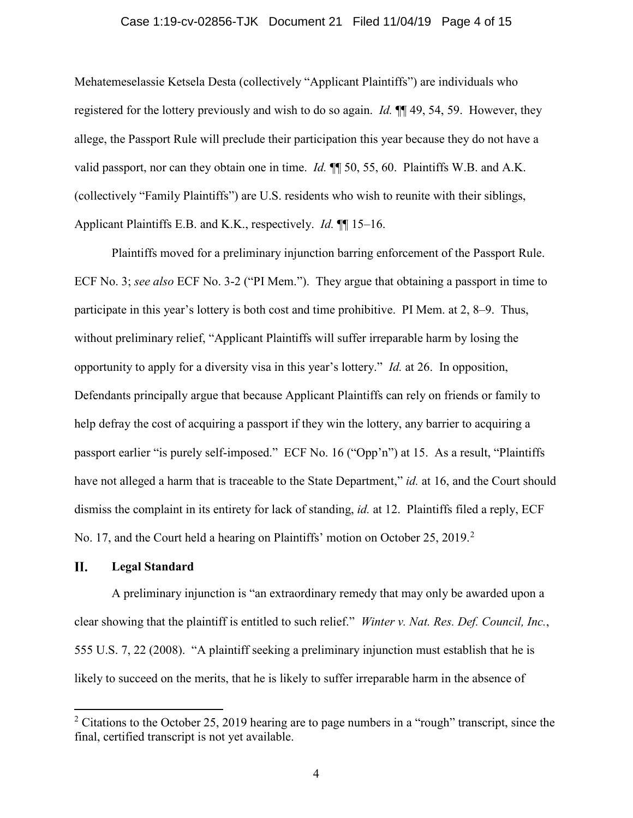### Case 1:19-cv-02856-TJK Document 21 Filed 11/04/19 Page 4 of 15

Mehatemeselassie Ketsela Desta (collectively "Applicant Plaintiffs") are individuals who registered for the lottery previously and wish to do so again. *Id.* ¶¶ 49, 54, 59. However, they allege, the Passport Rule will preclude their participation this year because they do not have a valid passport, nor can they obtain one in time. *Id.* ¶¶ 50, 55, 60. Plaintiffs W.B. and A.K. (collectively "Family Plaintiffs") are U.S. residents who wish to reunite with their siblings, Applicant Plaintiffs E.B. and K.K., respectively. *Id.* ¶¶ 15–16.

Plaintiffs moved for a preliminary injunction barring enforcement of the Passport Rule. ECF No. 3; *see also* ECF No. 3-2 ("PI Mem."). They argue that obtaining a passport in time to participate in this year's lottery is both cost and time prohibitive. PI Mem. at 2, 8–9. Thus, without preliminary relief, "Applicant Plaintiffs will suffer irreparable harm by losing the opportunity to apply for a diversity visa in this year's lottery." *Id.* at 26. In opposition, Defendants principally argue that because Applicant Plaintiffs can rely on friends or family to help defray the cost of acquiring a passport if they win the lottery, any barrier to acquiring a passport earlier "is purely self-imposed." ECF No. 16 ("Opp'n") at 15. As a result, "Plaintiffs have not alleged a harm that is traceable to the State Department," *id.* at 16, and the Court should dismiss the complaint in its entirety for lack of standing, *id.* at 12. Plaintiffs filed a reply, ECF No. 17, and the Court held a hearing on Plaintiffs' motion on October [2](#page-3-0)5, 2019.<sup>2</sup>

#### II. **Legal Standard**

A preliminary injunction is "an extraordinary remedy that may only be awarded upon a clear showing that the plaintiff is entitled to such relief." *Winter v. Nat. Res. Def. Council, Inc.*, 555 U.S. 7, 22 (2008). "A plaintiff seeking a preliminary injunction must establish that he is likely to succeed on the merits, that he is likely to suffer irreparable harm in the absence of

<span id="page-3-0"></span> $2$  Citations to the October 25, 2019 hearing are to page numbers in a "rough" transcript, since the final, certified transcript is not yet available.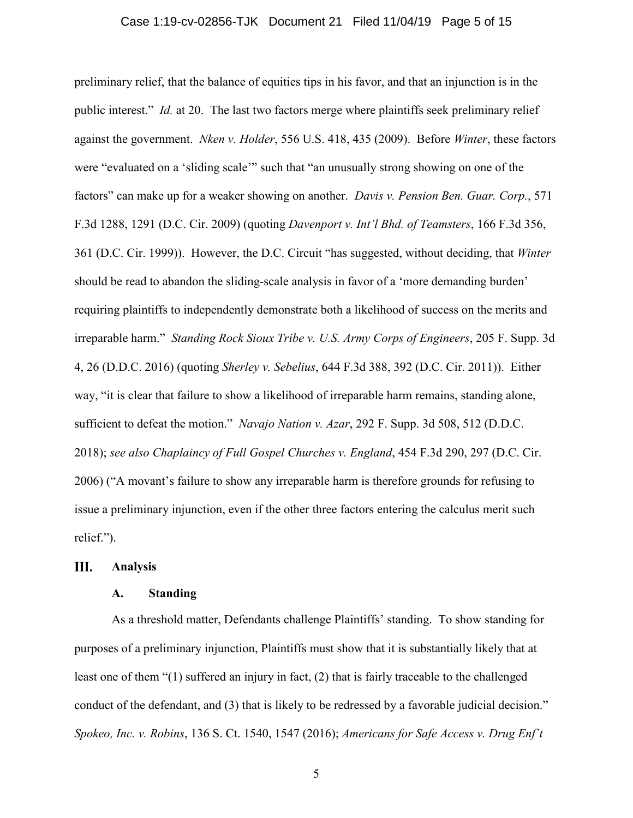### Case 1:19-cv-02856-TJK Document 21 Filed 11/04/19 Page 5 of 15

preliminary relief, that the balance of equities tips in his favor, and that an injunction is in the public interest." *Id.* at 20. The last two factors merge where plaintiffs seek preliminary relief against the government. *Nken v. Holder*, 556 U.S. 418, 435 (2009). Before *Winter*, these factors were "evaluated on a 'sliding scale'" such that "an unusually strong showing on one of the factors" can make up for a weaker showing on another. *Davis v. Pension Ben. Guar. Corp.*, 571 F.3d 1288, 1291 (D.C. Cir. 2009) (quoting *Davenport v. Int'l Bhd. of Teamsters*, 166 F.3d 356, 361 (D.C. Cir. 1999)). However, the D.C. Circuit "has suggested, without deciding, that *Winter* should be read to abandon the sliding-scale analysis in favor of a 'more demanding burden' requiring plaintiffs to independently demonstrate both a likelihood of success on the merits and irreparable harm." *Standing Rock Sioux Tribe v. U.S. Army Corps of Engineers*, 205 F. Supp. 3d 4, 26 (D.D.C. 2016) (quoting *Sherley v. Sebelius*, 644 F.3d 388, 392 (D.C. Cir. 2011)). Either way, "it is clear that failure to show a likelihood of irreparable harm remains, standing alone, sufficient to defeat the motion." *Navajo Nation v. Azar*, 292 F. Supp. 3d 508, 512 (D.D.C. 2018); *see also Chaplaincy of Full Gospel Churches v. England*, 454 F.3d 290, 297 (D.C. Cir. 2006) ("A movant's failure to show any irreparable harm is therefore grounds for refusing to issue a preliminary injunction, even if the other three factors entering the calculus merit such relief.").

#### Ш. **Analysis**

## **A. Standing**

As a threshold matter, Defendants challenge Plaintiffs' standing. To show standing for purposes of a preliminary injunction, Plaintiffs must show that it is substantially likely that at least one of them "(1) suffered an injury in fact, (2) that is fairly traceable to the challenged conduct of the defendant, and (3) that is likely to be redressed by a favorable judicial decision." *Spokeo, Inc. v. Robins*, 136 S. Ct. 1540, 1547 (2016); *Americans for Safe Access v. Drug Enf't*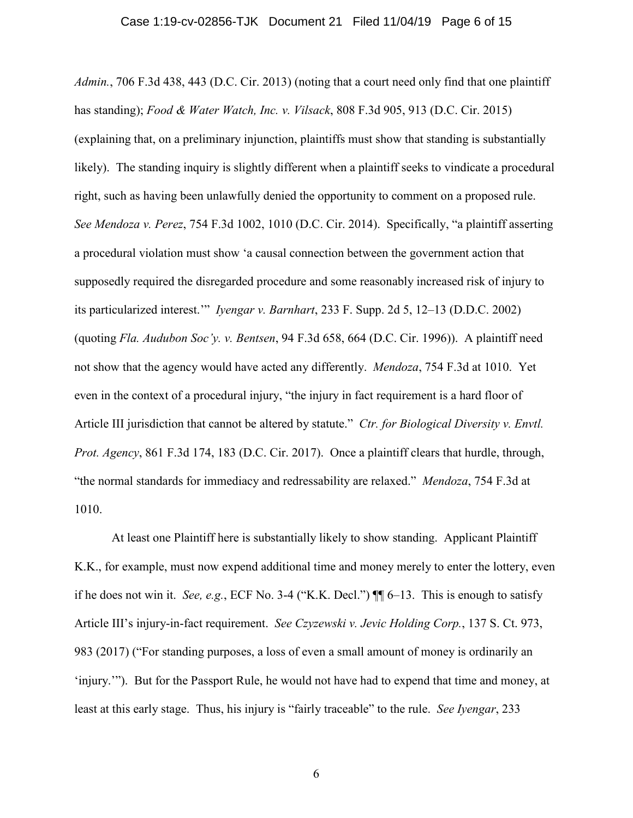*Admin.*, 706 F.3d 438, 443 (D.C. Cir. 2013) (noting that a court need only find that one plaintiff has standing); *Food & Water Watch, Inc. v. Vilsack*, 808 F.3d 905, 913 (D.C. Cir. 2015) (explaining that, on a preliminary injunction, plaintiffs must show that standing is substantially likely). The standing inquiry is slightly different when a plaintiff seeks to vindicate a procedural right, such as having been unlawfully denied the opportunity to comment on a proposed rule. *See Mendoza v. Perez*, 754 F.3d 1002, 1010 (D.C. Cir. 2014). Specifically, "a plaintiff asserting a procedural violation must show 'a causal connection between the government action that supposedly required the disregarded procedure and some reasonably increased risk of injury to its particularized interest.'" *Iyengar v. Barnhart*, 233 F. Supp. 2d 5, 12–13 (D.D.C. 2002) (quoting *Fla. Audubon Soc'y. v. Bentsen*, 94 F.3d 658, 664 (D.C. Cir. 1996)). A plaintiff need not show that the agency would have acted any differently. *Mendoza*, 754 F.3d at 1010. Yet even in the context of a procedural injury, "the injury in fact requirement is a hard floor of Article III jurisdiction that cannot be altered by statute." *Ctr. for Biological Diversity v. Envtl. Prot. Agency*, 861 F.3d 174, 183 (D.C. Cir. 2017). Once a plaintiff clears that hurdle, through, "the normal standards for immediacy and redressability are relaxed." *Mendoza*, 754 F.3d at 1010.

At least one Plaintiff here is substantially likely to show standing. Applicant Plaintiff K.K., for example, must now expend additional time and money merely to enter the lottery, even if he does not win it. *See, e.g.*, ECF No. 3-4 ("K.K. Decl.")  $\P$  $[6-13$ . This is enough to satisfy Article III's injury-in-fact requirement. *See Czyzewski v. Jevic Holding Corp.*, 137 S. Ct. 973, 983 (2017) ("For standing purposes, a loss of even a small amount of money is ordinarily an 'injury.'"). But for the Passport Rule, he would not have had to expend that time and money, at least at this early stage. Thus, his injury is "fairly traceable" to the rule. *See Iyengar*, 233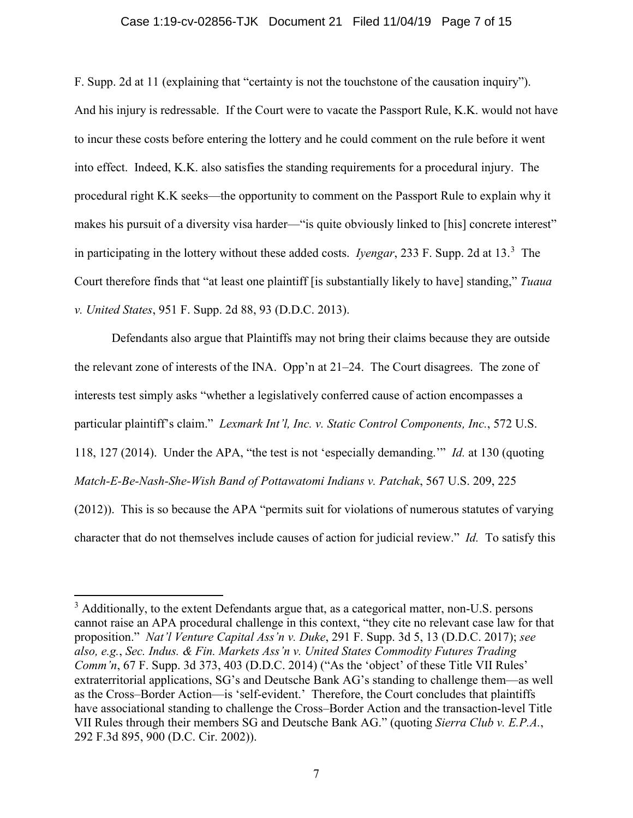#### Case 1:19-cv-02856-TJK Document 21 Filed 11/04/19 Page 7 of 15

F. Supp. 2d at 11 (explaining that "certainty is not the touchstone of the causation inquiry"). And his injury is redressable. If the Court were to vacate the Passport Rule, K.K. would not have to incur these costs before entering the lottery and he could comment on the rule before it went into effect. Indeed, K.K. also satisfies the standing requirements for a procedural injury. The procedural right K.K seeks—the opportunity to comment on the Passport Rule to explain why it makes his pursuit of a diversity visa harder—"is quite obviously linked to [his] concrete interest" in participating in the lottery without these added costs. *Iyengar*, 233 F. Supp. 2d at 13. [3](#page-6-0) The Court therefore finds that "at least one plaintiff [is substantially likely to have] standing," *Tuaua v. United States*, 951 F. Supp. 2d 88, 93 (D.D.C. 2013).

Defendants also argue that Plaintiffs may not bring their claims because they are outside the relevant zone of interests of the INA. Opp'n at 21–24. The Court disagrees. The zone of interests test simply asks "whether a legislatively conferred cause of action encompasses a particular plaintiff's claim." *Lexmark Int'l, Inc. v. Static Control Components, Inc.*, 572 U.S. 118, 127 (2014). Under the APA, "the test is not 'especially demanding.'" *Id.* at 130 (quoting *Match-E-Be-Nash-She-Wish Band of Pottawatomi Indians v. Patchak*, 567 U.S. 209, 225 (2012)). This is so because the APA "permits suit for violations of numerous statutes of varying character that do not themselves include causes of action for judicial review." *Id.* To satisfy this

<span id="page-6-0"></span> $3$  Additionally, to the extent Defendants argue that, as a categorical matter, non-U.S. persons cannot raise an APA procedural challenge in this context, "they cite no relevant case law for that proposition." *Nat'l Venture Capital Ass'n v. Duke*, 291 F. Supp. 3d 5, 13 (D.D.C. 2017); *see also, e.g.*, *Sec. Indus. & Fin. Markets Ass'n v. United States Commodity Futures Trading Comm'n*, 67 F. Supp. 3d 373, 403 (D.D.C. 2014) ("As the 'object' of these Title VII Rules' extraterritorial applications, SG's and Deutsche Bank AG's standing to challenge them—as well as the Cross–Border Action—is 'self-evident.' Therefore, the Court concludes that plaintiffs have associational standing to challenge the Cross–Border Action and the transaction-level Title VII Rules through their members SG and Deutsche Bank AG." (quoting *Sierra Club v. E.P.A.*, 292 F.3d 895, 900 (D.C. Cir. 2002)).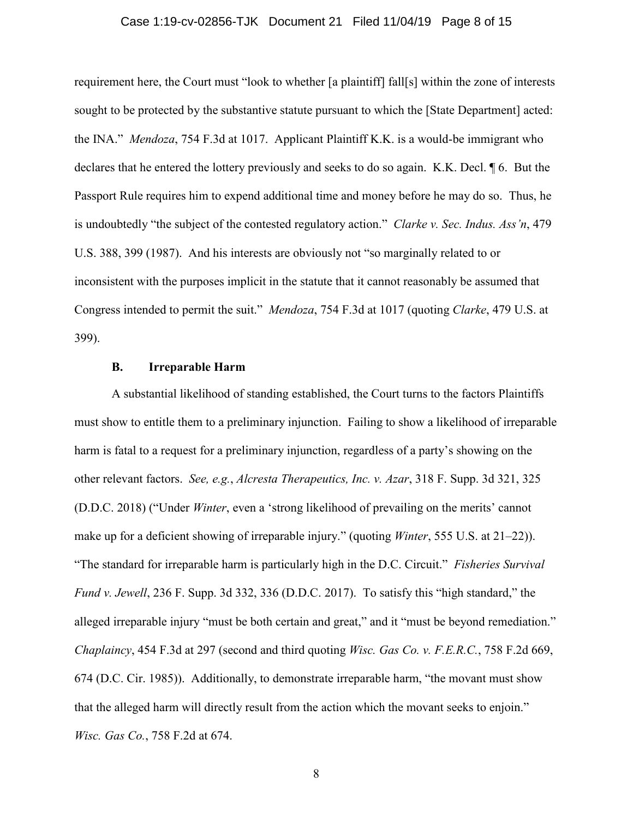#### Case 1:19-cv-02856-TJK Document 21 Filed 11/04/19 Page 8 of 15

requirement here, the Court must "look to whether [a plaintiff] fall[s] within the zone of interests sought to be protected by the substantive statute pursuant to which the [State Department] acted: the INA." *Mendoza*, 754 F.3d at 1017. Applicant Plaintiff K.K. is a would-be immigrant who declares that he entered the lottery previously and seeks to do so again. K.K. Decl. ¶ 6. But the Passport Rule requires him to expend additional time and money before he may do so. Thus, he is undoubtedly "the subject of the contested regulatory action." *Clarke v. Sec. Indus. Ass'n*, 479 U.S. 388, 399 (1987). And his interests are obviously not "so marginally related to or inconsistent with the purposes implicit in the statute that it cannot reasonably be assumed that Congress intended to permit the suit." *Mendoza*, 754 F.3d at 1017 (quoting *Clarke*, 479 U.S. at 399).

#### **B. Irreparable Harm**

A substantial likelihood of standing established, the Court turns to the factors Plaintiffs must show to entitle them to a preliminary injunction. Failing to show a likelihood of irreparable harm is fatal to a request for a preliminary injunction, regardless of a party's showing on the other relevant factors. *See, e.g.*, *Alcresta Therapeutics, Inc. v. Azar*, 318 F. Supp. 3d 321, 325 (D.D.C. 2018) ("Under *Winter*, even a 'strong likelihood of prevailing on the merits' cannot make up for a deficient showing of irreparable injury." (quoting *Winter*, 555 U.S. at 21–22)). "The standard for irreparable harm is particularly high in the D.C. Circuit." *Fisheries Survival Fund v. Jewell*, 236 F. Supp. 3d 332, 336 (D.D.C. 2017). To satisfy this "high standard," the alleged irreparable injury "must be both certain and great," and it "must be beyond remediation." *Chaplaincy*, 454 F.3d at 297 (second and third quoting *Wisc. Gas Co. v. F.E.R.C.*, 758 F.2d 669, 674 (D.C. Cir. 1985)). Additionally, to demonstrate irreparable harm, "the movant must show that the alleged harm will directly result from the action which the movant seeks to enjoin." *Wisc. Gas Co.*, 758 F.2d at 674.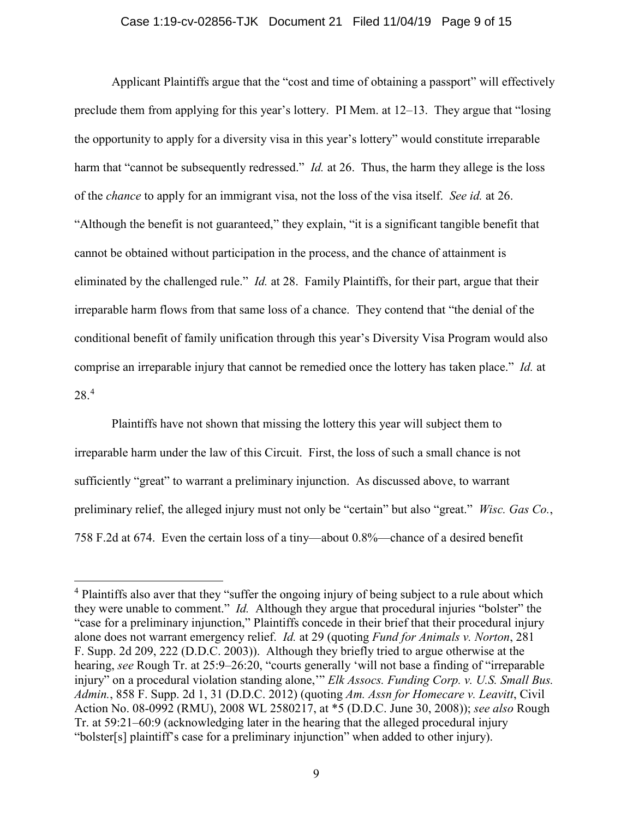### Case 1:19-cv-02856-TJK Document 21 Filed 11/04/19 Page 9 of 15

Applicant Plaintiffs argue that the "cost and time of obtaining a passport" will effectively preclude them from applying for this year's lottery. PI Mem. at 12–13. They argue that "losing the opportunity to apply for a diversity visa in this year's lottery" would constitute irreparable harm that "cannot be subsequently redressed." *Id.* at 26. Thus, the harm they allege is the loss of the *chance* to apply for an immigrant visa, not the loss of the visa itself. *See id.* at 26. "Although the benefit is not guaranteed," they explain, "it is a significant tangible benefit that cannot be obtained without participation in the process, and the chance of attainment is eliminated by the challenged rule." *Id.* at 28. Family Plaintiffs, for their part, argue that their irreparable harm flows from that same loss of a chance. They contend that "the denial of the conditional benefit of family unification through this year's Diversity Visa Program would also comprise an irreparable injury that cannot be remedied once the lottery has taken place." *Id.* at 28.[4](#page-8-0)

Plaintiffs have not shown that missing the lottery this year will subject them to irreparable harm under the law of this Circuit. First, the loss of such a small chance is not sufficiently "great" to warrant a preliminary injunction. As discussed above, to warrant preliminary relief, the alleged injury must not only be "certain" but also "great." *Wisc. Gas Co.*, 758 F.2d at 674. Even the certain loss of a tiny—about 0.8%—chance of a desired benefit

<span id="page-8-0"></span><sup>&</sup>lt;sup>4</sup> Plaintiffs also aver that they "suffer the ongoing injury of being subject to a rule about which they were unable to comment." *Id.* Although they argue that procedural injuries "bolster" the "case for a preliminary injunction," Plaintiffs concede in their brief that their procedural injury alone does not warrant emergency relief. *Id.* at 29 (quoting *Fund for Animals v. Norton*, 281 F. Supp. 2d 209, 222 (D.D.C. 2003)). Although they briefly tried to argue otherwise at the hearing, *see* Rough Tr. at 25:9–26:20, "courts generally 'will not base a finding of "irreparable injury" on a procedural violation standing alone,'" *Elk Assocs. Funding Corp. v. U.S. Small Bus. Admin.*, 858 F. Supp. 2d 1, 31 (D.D.C. 2012) (quoting *Am. Assn for Homecare v. Leavitt*, Civil Action No. 08-0992 (RMU), 2008 WL 2580217, at \*5 (D.D.C. June 30, 2008)); *see also* Rough Tr. at 59:21–60:9 (acknowledging later in the hearing that the alleged procedural injury "bolster[s] plaintiff's case for a preliminary injunction" when added to other injury).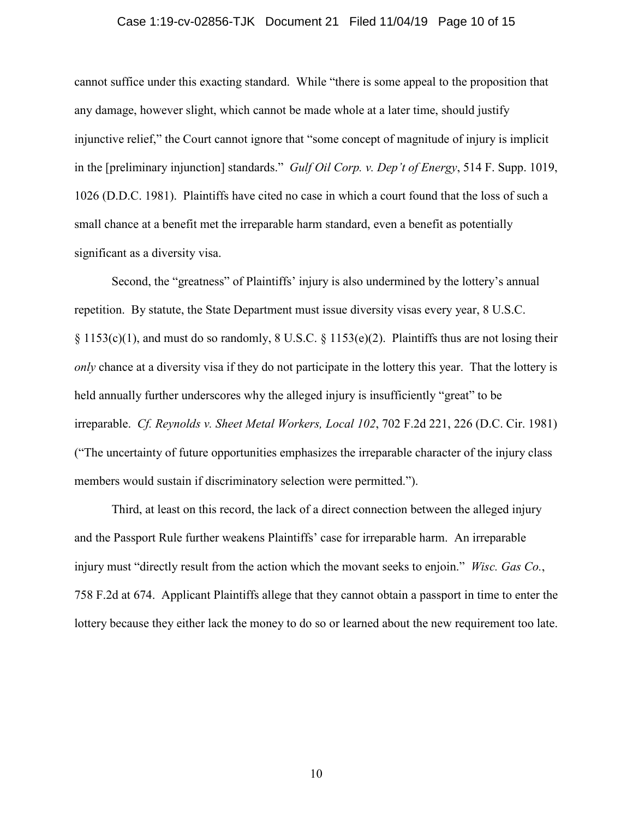#### Case 1:19-cv-02856-TJK Document 21 Filed 11/04/19 Page 10 of 15

cannot suffice under this exacting standard. While "there is some appeal to the proposition that any damage, however slight, which cannot be made whole at a later time, should justify injunctive relief," the Court cannot ignore that "some concept of magnitude of injury is implicit in the [preliminary injunction] standards." *Gulf Oil Corp. v. Dep't of Energy*, 514 F. Supp. 1019, 1026 (D.D.C. 1981). Plaintiffs have cited no case in which a court found that the loss of such a small chance at a benefit met the irreparable harm standard, even a benefit as potentially significant as a diversity visa.

Second, the "greatness" of Plaintiffs' injury is also undermined by the lottery's annual repetition. By statute, the State Department must issue diversity visas every year, 8 U.S.C. § 1153(c)(1), and must do so randomly, 8 U.S.C. § 1153(e)(2). Plaintiffs thus are not losing their *only* chance at a diversity visa if they do not participate in the lottery this year. That the lottery is held annually further underscores why the alleged injury is insufficiently "great" to be irreparable. *Cf. Reynolds v. Sheet Metal Workers, Local 102*, 702 F.2d 221, 226 (D.C. Cir. 1981) ("The uncertainty of future opportunities emphasizes the irreparable character of the injury class members would sustain if discriminatory selection were permitted.").

Third, at least on this record, the lack of a direct connection between the alleged injury and the Passport Rule further weakens Plaintiffs' case for irreparable harm. An irreparable injury must "directly result from the action which the movant seeks to enjoin." *Wisc. Gas Co.*, 758 F.2d at 674. Applicant Plaintiffs allege that they cannot obtain a passport in time to enter the lottery because they either lack the money to do so or learned about the new requirement too late.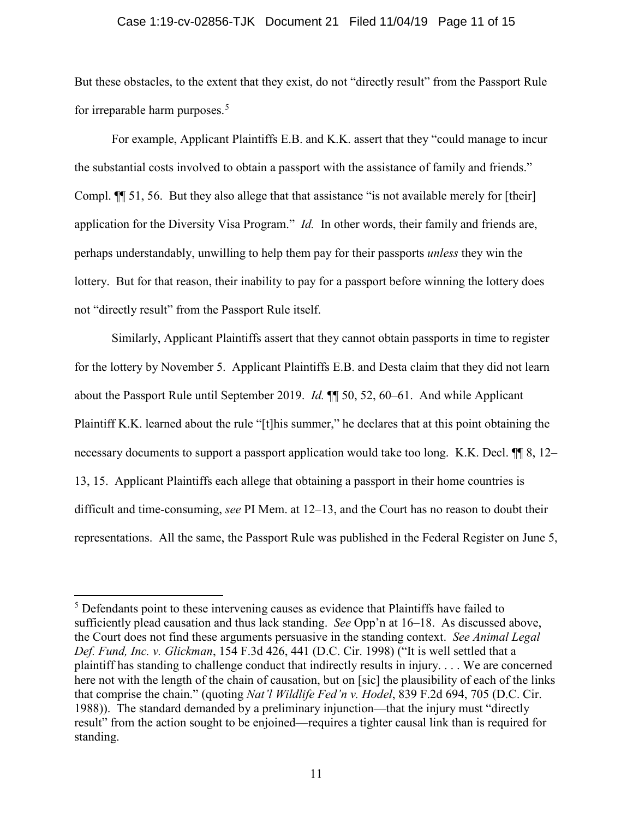#### Case 1:19-cv-02856-TJK Document 21 Filed 11/04/19 Page 11 of 15

But these obstacles, to the extent that they exist, do not "directly result" from the Passport Rule for irreparable harm purposes. [5](#page-10-0)

For example, Applicant Plaintiffs E.B. and K.K. assert that they "could manage to incur the substantial costs involved to obtain a passport with the assistance of family and friends." Compl. ¶¶ 51, 56. But they also allege that that assistance "is not available merely for [their] application for the Diversity Visa Program." *Id.* In other words, their family and friends are, perhaps understandably, unwilling to help them pay for their passports *unless* they win the lottery. But for that reason, their inability to pay for a passport before winning the lottery does not "directly result" from the Passport Rule itself.

Similarly, Applicant Plaintiffs assert that they cannot obtain passports in time to register for the lottery by November 5. Applicant Plaintiffs E.B. and Desta claim that they did not learn about the Passport Rule until September 2019. *Id.* ¶¶ 50, 52, 60–61. And while Applicant Plaintiff K.K. learned about the rule "[t]his summer," he declares that at this point obtaining the necessary documents to support a passport application would take too long. K.K. Decl.  $\P$  8, 12– 13, 15. Applicant Plaintiffs each allege that obtaining a passport in their home countries is difficult and time-consuming, *see* PI Mem. at 12–13, and the Court has no reason to doubt their representations. All the same, the Passport Rule was published in the Federal Register on June 5,

<span id="page-10-0"></span><sup>&</sup>lt;sup>5</sup> Defendants point to these intervening causes as evidence that Plaintiffs have failed to sufficiently plead causation and thus lack standing. *See* Opp'n at 16–18. As discussed above, the Court does not find these arguments persuasive in the standing context. *See Animal Legal Def. Fund, Inc. v. Glickman*, 154 F.3d 426, 441 (D.C. Cir. 1998) ("It is well settled that a plaintiff has standing to challenge conduct that indirectly results in injury. . . . We are concerned here not with the length of the chain of causation, but on [sic] the plausibility of each of the links that comprise the chain." (quoting *Nat'l Wildlife Fed'n v. Hodel*, 839 F.2d 694, 705 (D.C. Cir. 1988)). The standard demanded by a preliminary injunction—that the injury must "directly result" from the action sought to be enjoined—requires a tighter causal link than is required for standing.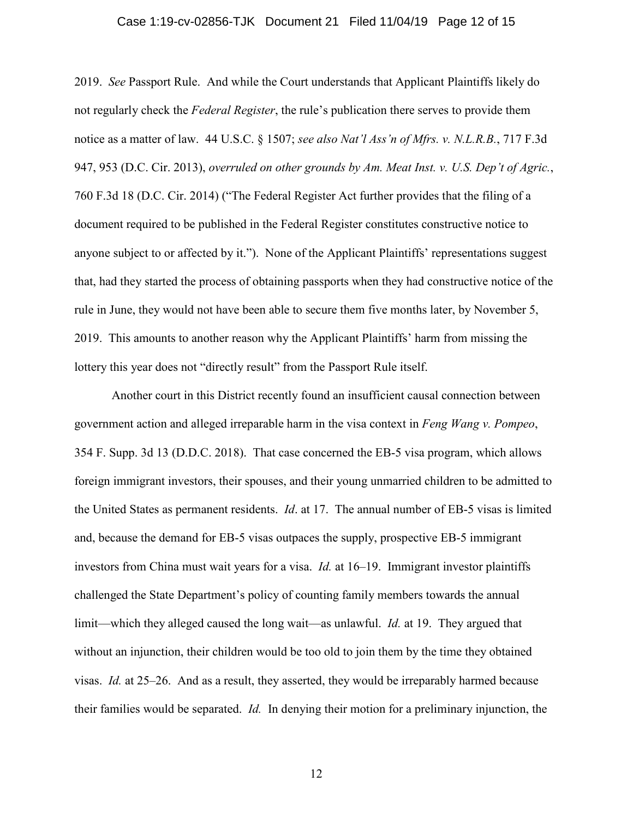#### Case 1:19-cv-02856-TJK Document 21 Filed 11/04/19 Page 12 of 15

2019. *See* Passport Rule. And while the Court understands that Applicant Plaintiffs likely do not regularly check the *Federal Register*, the rule's publication there serves to provide them notice as a matter of law. 44 U.S.C. § 1507; *see also Nat'l Ass'n of Mfrs. v. N.L.R.B.*, 717 F.3d 947, 953 (D.C. Cir. 2013), *overruled on other grounds by Am. Meat Inst. v. U.S. Dep't of Agric.*, 760 F.3d 18 (D.C. Cir. 2014) ("The Federal Register Act further provides that the filing of a document required to be published in the Federal Register constitutes constructive notice to anyone subject to or affected by it."). None of the Applicant Plaintiffs' representations suggest that, had they started the process of obtaining passports when they had constructive notice of the rule in June, they would not have been able to secure them five months later, by November 5, 2019. This amounts to another reason why the Applicant Plaintiffs' harm from missing the lottery this year does not "directly result" from the Passport Rule itself.

Another court in this District recently found an insufficient causal connection between government action and alleged irreparable harm in the visa context in *Feng Wang v. Pompeo*, 354 F. Supp. 3d 13 (D.D.C. 2018). That case concerned the EB-5 visa program, which allows foreign immigrant investors, their spouses, and their young unmarried children to be admitted to the United States as permanent residents. *Id*. at 17. The annual number of EB-5 visas is limited and, because the demand for EB-5 visas outpaces the supply, prospective EB-5 immigrant investors from China must wait years for a visa. *Id.* at 16–19. Immigrant investor plaintiffs challenged the State Department's policy of counting family members towards the annual limit—which they alleged caused the long wait—as unlawful. *Id.* at 19. They argued that without an injunction, their children would be too old to join them by the time they obtained visas. *Id.* at 25–26. And as a result, they asserted, they would be irreparably harmed because their families would be separated. *Id.* In denying their motion for a preliminary injunction, the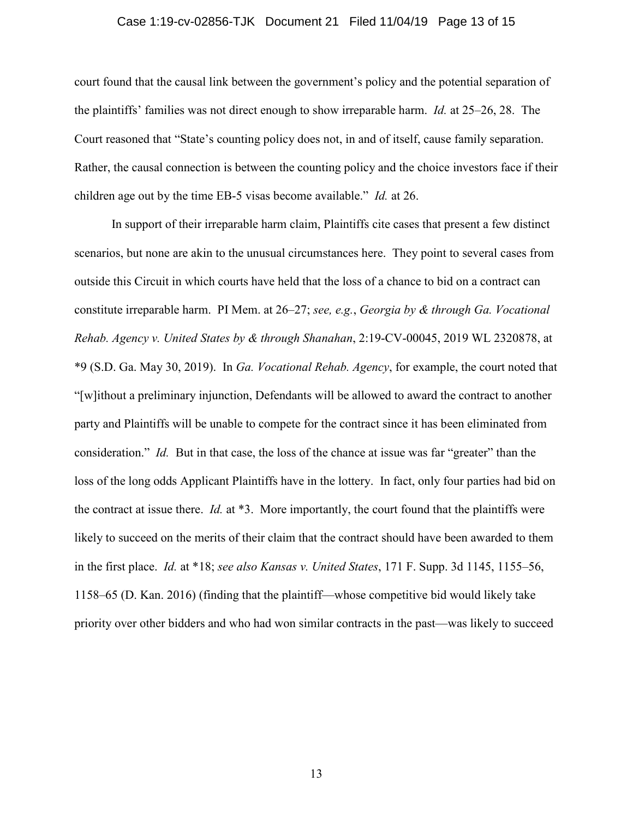#### Case 1:19-cv-02856-TJK Document 21 Filed 11/04/19 Page 13 of 15

court found that the causal link between the government's policy and the potential separation of the plaintiffs' families was not direct enough to show irreparable harm. *Id.* at 25–26, 28. The Court reasoned that "State's counting policy does not, in and of itself, cause family separation. Rather, the causal connection is between the counting policy and the choice investors face if their children age out by the time EB-5 visas become available." *Id.* at 26.

In support of their irreparable harm claim, Plaintiffs cite cases that present a few distinct scenarios, but none are akin to the unusual circumstances here. They point to several cases from outside this Circuit in which courts have held that the loss of a chance to bid on a contract can constitute irreparable harm. PI Mem. at 26–27; *see, e.g.*, *Georgia by & through Ga. Vocational Rehab. Agency v. United States by & through Shanahan*, 2:19-CV-00045, 2019 WL 2320878, at \*9 (S.D. Ga. May 30, 2019). In *Ga. Vocational Rehab. Agency*, for example, the court noted that "[w]ithout a preliminary injunction, Defendants will be allowed to award the contract to another party and Plaintiffs will be unable to compete for the contract since it has been eliminated from consideration." *Id.* But in that case, the loss of the chance at issue was far "greater" than the loss of the long odds Applicant Plaintiffs have in the lottery. In fact, only four parties had bid on the contract at issue there. *Id.* at \*3. More importantly, the court found that the plaintiffs were likely to succeed on the merits of their claim that the contract should have been awarded to them in the first place. *Id.* at \*18; *see also Kansas v. United States*, 171 F. Supp. 3d 1145, 1155–56, 1158–65 (D. Kan. 2016) (finding that the plaintiff—whose competitive bid would likely take priority over other bidders and who had won similar contracts in the past—was likely to succeed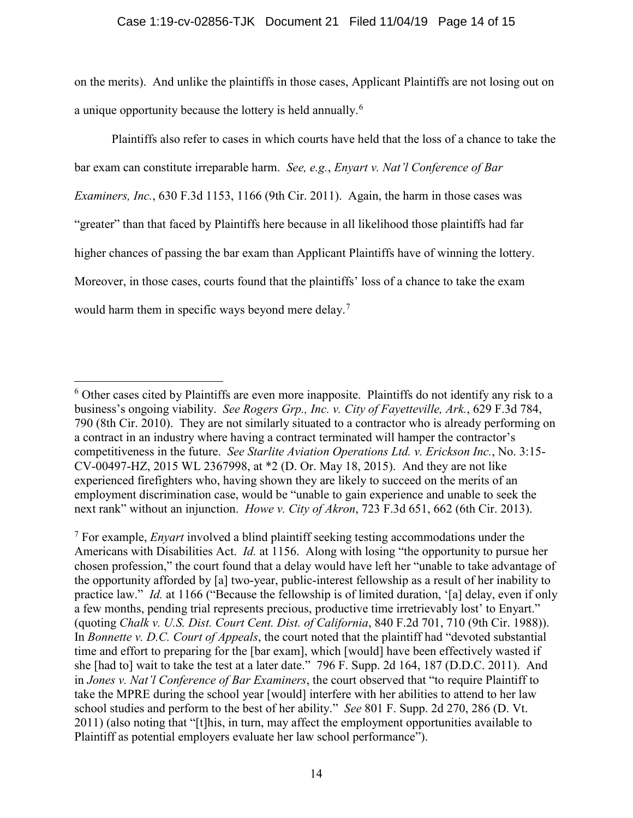## Case 1:19-cv-02856-TJK Document 21 Filed 11/04/19 Page 14 of 15

on the merits). And unlike the plaintiffs in those cases, Applicant Plaintiffs are not losing out on a unique opportunity because the lottery is held annually.<sup>[6](#page-13-0)</sup>

Plaintiffs also refer to cases in which courts have held that the loss of a chance to take the bar exam can constitute irreparable harm. *See, e.g.*, *Enyart v. Nat'l Conference of Bar Examiners, Inc.*, 630 F.3d 1153, 1166 (9th Cir. 2011). Again, the harm in those cases was "greater" than that faced by Plaintiffs here because in all likelihood those plaintiffs had far higher chances of passing the bar exam than Applicant Plaintiffs have of winning the lottery. Moreover, in those cases, courts found that the plaintiffs' loss of a chance to take the exam would harm them in specific ways beyond mere delay.<sup>[7](#page-13-1)</sup>

<span id="page-13-0"></span> $6$  Other cases cited by Plaintiffs are even more inapposite. Plaintiffs do not identify any risk to a business's ongoing viability. *See Rogers Grp., Inc. v. City of Fayetteville, Ark.*, 629 F.3d 784, 790 (8th Cir. 2010). They are not similarly situated to a contractor who is already performing on a contract in an industry where having a contract terminated will hamper the contractor's competitiveness in the future. *See Starlite Aviation Operations Ltd. v. Erickson Inc.*, No. 3:15- CV-00497-HZ, 2015 WL 2367998, at \*2 (D. Or. May 18, 2015). And they are not like experienced firefighters who, having shown they are likely to succeed on the merits of an employment discrimination case, would be "unable to gain experience and unable to seek the next rank" without an injunction. *Howe v. City of Akron*, 723 F.3d 651, 662 (6th Cir. 2013).

<span id="page-13-1"></span><sup>7</sup> For example, *Enyart* involved a blind plaintiff seeking testing accommodations under the Americans with Disabilities Act. *Id.* at 1156. Along with losing "the opportunity to pursue her chosen profession," the court found that a delay would have left her "unable to take advantage of the opportunity afforded by [a] two-year, public-interest fellowship as a result of her inability to practice law." *Id.* at 1166 ("Because the fellowship is of limited duration, '[a] delay, even if only a few months, pending trial represents precious, productive time irretrievably lost' to Enyart." (quoting *Chalk v. U.S. Dist. Court Cent. Dist. of California*, 840 F.2d 701, 710 (9th Cir. 1988)). In *Bonnette v. D.C. Court of Appeals*, the court noted that the plaintiff had "devoted substantial time and effort to preparing for the [bar exam], which [would] have been effectively wasted if she [had to] wait to take the test at a later date." 796 F. Supp. 2d 164, 187 (D.D.C. 2011). And in *Jones v. Nat'l Conference of Bar Examiners*, the court observed that "to require Plaintiff to take the MPRE during the school year [would] interfere with her abilities to attend to her law school studies and perform to the best of her ability." *See* 801 F. Supp. 2d 270, 286 (D. Vt. 2011) (also noting that "[t]his, in turn, may affect the employment opportunities available to Plaintiff as potential employers evaluate her law school performance").